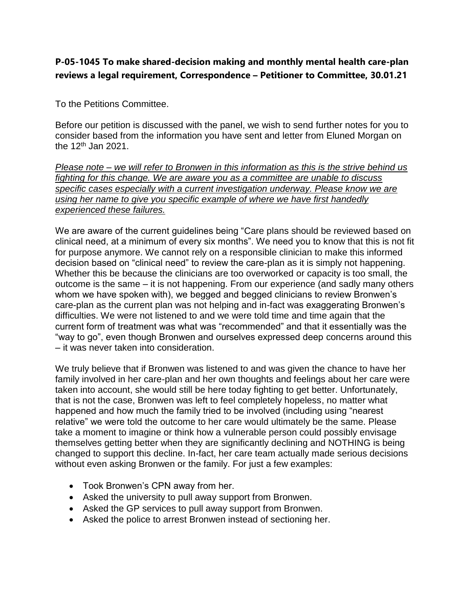# **P-05-1045 To make shared-decision making and monthly mental health care-plan reviews a legal requirement, Correspondence – Petitioner to Committee, 30.01.21**

To the Petitions Committee.

Before our petition is discussed with the panel, we wish to send further notes for you to consider based from the information you have sent and letter from Eluned Morgan on the 12<sup>th</sup> Jan 2021.

*Please note – we will refer to Bronwen in this information as this is the strive behind us fighting for this change. We are aware you as a committee are unable to discuss specific cases especially with a current investigation underway. Please know we are using her name to give you specific example of where we have first handedly experienced these failures.* 

We are aware of the current guidelines being "Care plans should be reviewed based on clinical need, at a minimum of every six months". We need you to know that this is not fit for purpose anymore. We cannot rely on a responsible clinician to make this informed decision based on "clinical need" to review the care-plan as it is simply not happening. Whether this be because the clinicians are too overworked or capacity is too small, the outcome is the same – it is not happening. From our experience (and sadly many others whom we have spoken with), we begged and begged clinicians to review Bronwen's care-plan as the current plan was not helping and in-fact was exaggerating Bronwen's difficulties. We were not listened to and we were told time and time again that the current form of treatment was what was "recommended" and that it essentially was the "way to go", even though Bronwen and ourselves expressed deep concerns around this – it was never taken into consideration.

We truly believe that if Bronwen was listened to and was given the chance to have her family involved in her care-plan and her own thoughts and feelings about her care were taken into account, she would still be here today fighting to get better. Unfortunately, that is not the case, Bronwen was left to feel completely hopeless, no matter what happened and how much the family tried to be involved (including using "nearest relative" we were told the outcome to her care would ultimately be the same. Please take a moment to imagine or think how a vulnerable person could possibly envisage themselves getting better when they are significantly declining and NOTHING is being changed to support this decline. In-fact, her care team actually made serious decisions without even asking Bronwen or the family. For just a few examples:

- Took Bronwen's CPN away from her.
- Asked the university to pull away support from Bronwen.
- Asked the GP services to pull away support from Bronwen.
- Asked the police to arrest Bronwen instead of sectioning her.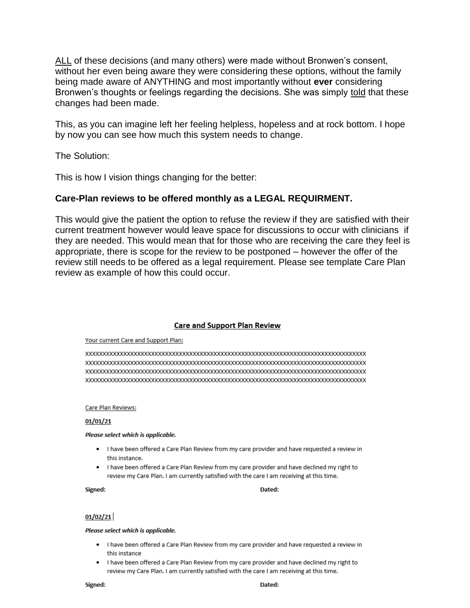ALL of these decisions (and many others) were made without Bronwen's consent, without her even being aware they were considering these options, without the family being made aware of ANYTHING and most importantly without **ever** considering Bronwen's thoughts or feelings regarding the decisions. She was simply told that these changes had been made.

This, as you can imagine left her feeling helpless, hopeless and at rock bottom. I hope by now you can see how much this system needs to change.

The Solution:

This is how I vision things changing for the better:

## **Care-Plan reviews to be offered monthly as a LEGAL REQUIRMENT.**

This would give the patient the option to refuse the review if they are satisfied with their current treatment however would leave space for discussions to occur with clinicians if they are needed. This would mean that for those who are receiving the care they feel is appropriate, there is scope for the review to be postponed – however the offer of the review still needs to be offered as a legal requirement. Please see template Care Plan review as example of how this could occur.

## **Care and Support Plan Review**

#### Your current Care and Support Plan:

#### Care Plan Reviews:

#### $01/01/21$

#### Please select which is applicable.

- . I have been offered a Care Plan Review from my care provider and have requested a review in this instance.
- . I have been offered a Care Plan Review from my care provider and have declined my right to review my Care Plan. I am currently satisfied with the care I am receiving at this time.

#### Signed:

#### Dated:

### $01/02/21$

#### Please select which is applicable.

- . I have been offered a Care Plan Review from my care provider and have requested a review in this instance
- . I have been offered a Care Plan Review from my care provider and have declined my right to review my Care Plan. I am currently satisfied with the care I am receiving at this time.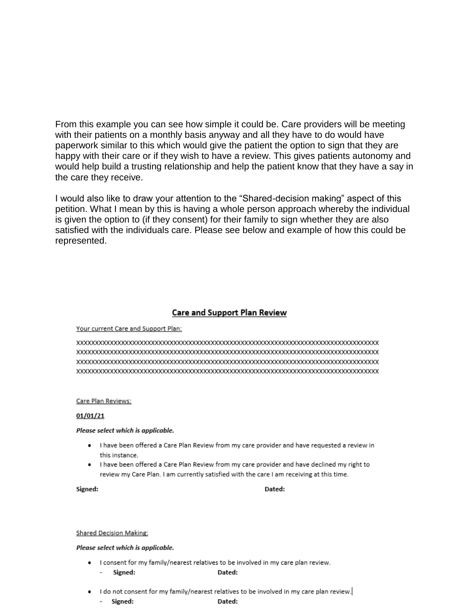From this example you can see how simple it could be. Care providers will be meeting with their patients on a monthly basis anyway and all they have to do would have paperwork similar to this which would give the patient the option to sign that they are happy with their care or if they wish to have a review. This gives patients autonomy and would help build a trusting relationship and help the patient know that they have a say in the care they receive.

I would also like to draw your attention to the "Shared-decision making" aspect of this petition. What I mean by this is having a whole person approach whereby the individual is given the option to (if they consent) for their family to sign whether they are also satisfied with the individuals care. Please see below and example of how this could be represented.

## **Care and Support Plan Review**

#### Your current Care and Support Plan:

#### Care Plan Reviews:

### 01/01/21

#### Please select which is applicable.

- . I have been offered a Care Plan Review from my care provider and have requested a review in this instance.
- . I have been offered a Care Plan Review from my care provider and have declined my right to review my Care Plan. I am currently satisfied with the care I am receiving at this time.

#### Signed:

### Dated:

#### **Shared Decision Making:**

#### Please select which is applicable.

- . I consent for my family/nearest relatives to be involved in my care plan review.
	- Signed: Dated:
- I do not consent for my family/nearest relatives to be involved in my care plan review.
	- Signed:

Dated: